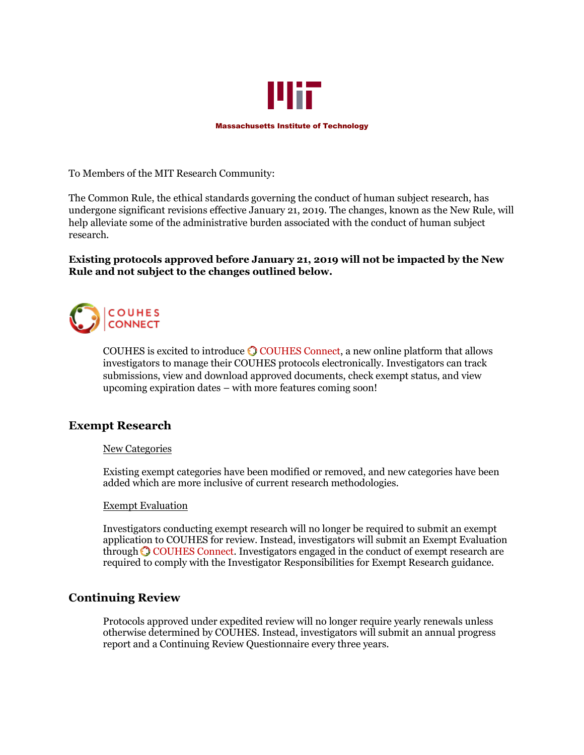

To Members of the MIT Research Community:

The Common Rule, the ethical standards governing the conduct of human subject research, has undergone significant revisions effective January 21, 2019. The changes, known as the New Rule, will help alleviate some of the administrative burden associated with the conduct of human subject research.

### **Existing protocols approved before January 21, 2019 will not be impacted by the New Rule and not subject to the changes outlined below.**



COUHESis excited to introduce  $\bigcirc$  COUHES Connect, a new online platform that allows investigators to manage their COUHES protocols electronically. Investigators can track submissions, view and download approved documents, check exempt status, and view upcoming expiration dates – with more features coming soon!

# **Exempt Research**

### New Categories

Existing exempt categories have been modified or removed, and new categories have been added which are more inclusive of current research methodologies.

### Exempt Evaluation

Investigators conducting exempt research will no longer be required to submit an exempt application to COUHES for review. Instead, investigators will submit an Exempt Evaluation throughCOUHES Connect. Investigators engaged in the conduct of exempt research are required to comply with the Investigator Responsibilities for Exempt Research guidance.

# **Continuing Review**

Protocols approved under expedited review will no longer require yearly renewals unless otherwise determined by COUHES. Instead, investigators will submit an annual progress report and a Continuing Review Questionnaire every three years.